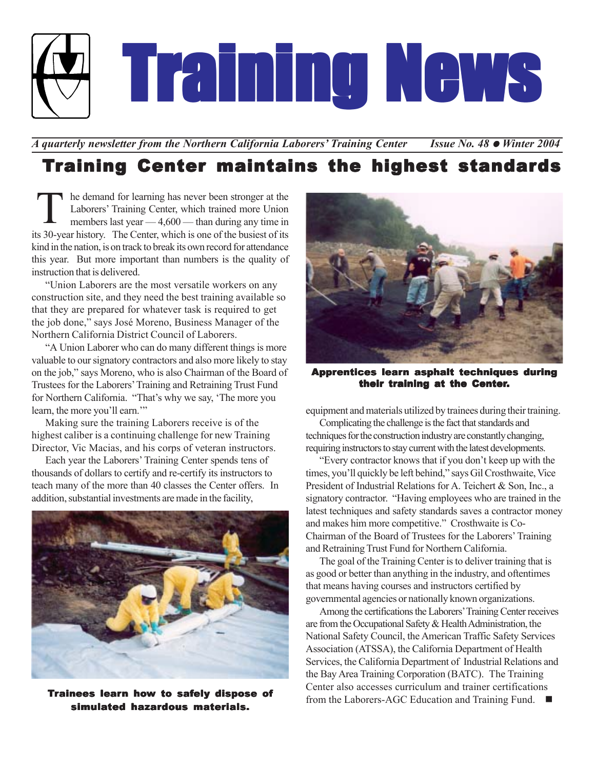

*A* quarterly newsletter from the Northern California Laborers' Training Center *Issue No. 48* **• Winter 2004** 

# Training Center maintains the highest standards

he demand for learning has never been stronger at the Laborers' Training Center, which trained more Union members last year — 4,600 — than during any time in its 30-year history. The Center, which is one of the busiest of its kind in the nation, is on track to break its own record for attendance this year. But more important than numbers is the quality of instruction that is delivered. T

"Union Laborers are the most versatile workers on any construction site, and they need the best training available so that they are prepared for whatever task is required to get the job done," says José Moreno, Business Manager of the Northern California District Council of Laborers.

"A Union Laborer who can do many different things is more valuable to our signatory contractors and also more likely to stay on the job," says Moreno, who is also Chairman of the Board of Trustees for the Laborers' Training and Retraining Trust Fund for Northern California. "That's why we say, 'The more you learn, the more you'll earn."

Making sure the training Laborers receive is of the highest caliber is a continuing challenge for new Training Director, Vic Macias, and his corps of veteran instructors.

Each year the Laborers' Training Center spends tens of thousands of dollars to certify and re-certify its instructors to teach many of the more than 40 classes the Center offers. In addition, substantial investments are made in the facility,



Trainees learn how to safely dispose of simulated hazardous materials.



Apprentices learn asphalt techniques during their training at the Center.

equipment and materials utilized by trainees during their training.

Complicating the challenge is the fact that standards and techniques for the construction industry are constantly changing, requiring instructors to stay current with the latest developments.

"Every contractor knows that if you don't keep up with the times, you'll quickly be left behind," says Gil Crosthwaite, Vice President of Industrial Relations for A. Teichert & Son, Inc., a signatory contractor. "Having employees who are trained in the latest techniques and safety standards saves a contractor money and makes him more competitive." Crosthwaite is Co-Chairman of the Board of Trustees for the Laborers' Training and Retraining Trust Fund for Northern California.

The goal of the Training Center is to deliver training that is as good or better than anything in the industry, and oftentimes that means having courses and instructors certified by governmental agencies or nationally known organizations.

Among the certifications the Laborers' Training Center receives are from the Occupational Safety & Health Administration, the National Safety Council, the American Traffic Safety Services Association (ATSSA), the California Department of Health Services, the California Department of Industrial Relations and the Bay Area Training Corporation (BATC). The Training Center also accesses curriculum and trainer certifications from the Laborers-AGC Education and Training Fund.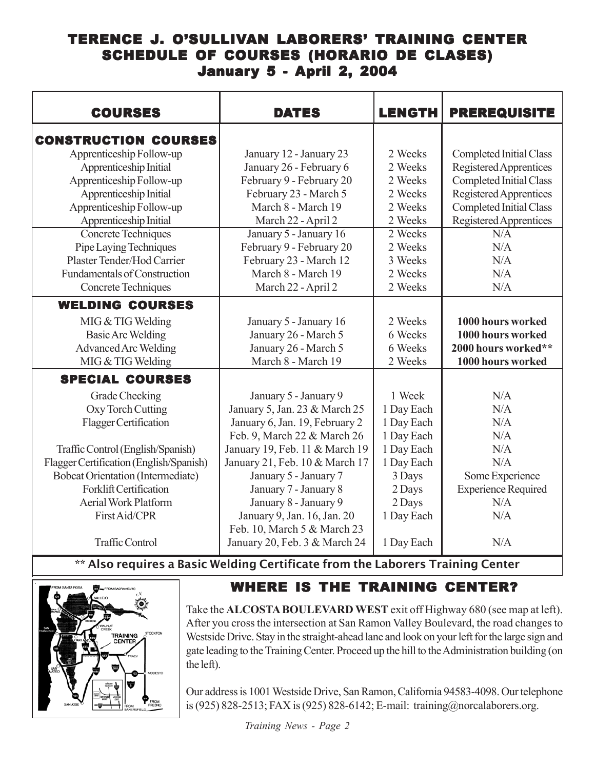### TERENCE J. O'SULLIVAN LABORERS' TRAINING CENTER SCHEDULE OF COURSES (HORARIO DE CLASES) **January 5 - April 2, 2004**

| <b>COURSES</b>                           | <b>DATES</b>                                                 | <b>LENGTH</b> | <b>PREREQUISITE</b>            |
|------------------------------------------|--------------------------------------------------------------|---------------|--------------------------------|
| <b>CONSTRUCTION COURSES</b>              |                                                              |               |                                |
| Apprenticeship Follow-up                 | January 12 - January 23                                      | 2 Weeks       | <b>Completed Initial Class</b> |
| Apprenticeship Initial                   | January 26 - February 6                                      | 2 Weeks       | Registered Apprentices         |
| Apprenticeship Follow-up                 | February 9 - February 20                                     | 2 Weeks       | <b>Completed Initial Class</b> |
| Apprenticeship Initial                   | February 23 - March 5                                        | 2 Weeks       | Registered Apprentices         |
| Apprenticeship Follow-up                 | March 8 - March 19                                           | 2 Weeks       | <b>Completed Initial Class</b> |
| Apprenticeship Initial                   | March 22 - April 2                                           | 2 Weeks       | Registered Apprentices         |
| <b>Concrete Techniques</b>               | January 5 - January 16                                       | 2 Weeks       | N/A                            |
| Pipe Laying Techniques                   | February 9 - February 20                                     | 2 Weeks       | N/A                            |
| Plaster Tender/Hod Carrier               | February 23 - March 12                                       | 3 Weeks       | N/A                            |
| <b>Fundamentals of Construction</b>      | March 8 - March 19                                           | 2 Weeks       | N/A                            |
| Concrete Techniques                      | March 22 - April 2                                           | 2 Weeks       | N/A                            |
| <b>WELDING COURSES</b>                   |                                                              |               |                                |
| MIG & TIG Welding                        | January 5 - January 16                                       | 2 Weeks       | 1000 hours worked              |
| <b>Basic Arc Welding</b>                 | January 26 - March 5                                         | 6 Weeks       | 1000 hours worked              |
| <b>Advanced Arc Welding</b>              | January 26 - March 5                                         | 6 Weeks       | 2000 hours worked**            |
| MIG & TIG Welding                        | March 8 - March 19                                           | 2 Weeks       | 1000 hours worked              |
| <b>SPECIAL COURSES</b>                   |                                                              |               |                                |
| Grade Checking                           | January 5 - January 9                                        | 1 Week        | N/A                            |
| Oxy Torch Cutting                        | January 5, Jan. 23 & March 25                                | 1 Day Each    | N/A                            |
| <b>Flagger Certification</b>             | January 6, Jan. 19, February 2                               | 1 Day Each    | N/A                            |
|                                          | Feb. 9, March 22 & March 26                                  | 1 Day Each    | N/A                            |
| Traffic Control (English/Spanish)        | January 19, Feb. 11 & March 19                               | 1 Day Each    | N/A                            |
| Flagger Certification (English/Spanish)  | January 21, Feb. 10 & March 17                               | 1 Day Each    | N/A                            |
| <b>Bobcat Orientation (Intermediate)</b> | January 5 - January 7                                        | 3 Days        | Some Experience                |
| Forklift Certification                   | January 7 - January 8                                        | 2 Days        | <b>Experience Required</b>     |
| <b>Aerial Work Platform</b>              | January 8 - January 9                                        | 2 Days        | N/A                            |
| First Aid/CPR                            | January 9, Jan. 16, Jan. 20                                  | 1 Day Each    | N/A                            |
| <b>Traffic Control</b>                   | Feb. 10, March 5 & March 23<br>January 20, Feb. 3 & March 24 | 1 Day Each    | N/A                            |

\*\* Also requires a Basic Welding Certificate from the Laborers Training Center



## WHERE IS THE TRAINING CENTER?

Take the **ALCOSTA BOULEVARD WEST** exit off Highway 680 (see map at left). After you cross the intersection at San Ramon Valley Boulevard, the road changes to Westside Drive. Stay in the straight-ahead lane and look on your left for the large sign and gate leading to the Training Center. Proceed up the hill to the Administration building (on the left).

Our address is 1001 Westside Drive, San Ramon, California 94583-4098. Our telephone is (925) 828-2513; FAX is (925) 828-6142; E-mail: training@norcalaborers.org.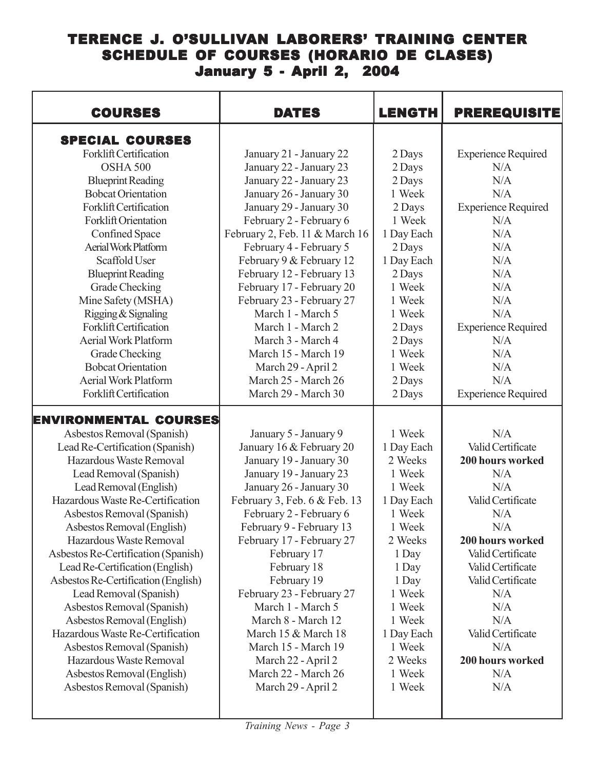### TERENCE J. O'SULLIVAN LABORERS' TRAINING CENTER SCHEDULE OF COURSES (HORARIO DE CLASES) **January 5 - April 2, 2004**

| <b>COURSES</b>                      | <b>DATES</b>                   | <b>LENGTH</b> | <b>PREREQUISITE</b>        |
|-------------------------------------|--------------------------------|---------------|----------------------------|
| <b>SPECIAL COURSES</b>              |                                |               |                            |
| Forklift Certification              | January 21 - January 22        | 2 Days        | <b>Experience Required</b> |
| OSHA 500                            | January 22 - January 23        | 2 Days        | N/A                        |
| <b>Blueprint Reading</b>            | January 22 - January 23        | 2 Days        | N/A                        |
| <b>Bobcat Orientation</b>           | January 26 - January 30        | 1 Week        | N/A                        |
| Forklift Certification              | January 29 - January 30        | 2 Days        | <b>Experience Required</b> |
| <b>Forklift Orientation</b>         | February 2 - February 6        | 1 Week        | N/A                        |
| <b>Confined Space</b>               | February 2, Feb. 11 & March 16 | 1 Day Each    | N/A                        |
| Aerial Work Platform                | February 4 - February 5        | 2 Days        | N/A                        |
| Scaffold User                       | February 9 & February 12       | 1 Day Each    | N/A                        |
| <b>Blueprint Reading</b>            | February 12 - February 13      | 2 Days        | N/A                        |
| Grade Checking                      | February 17 - February 20      | 1 Week        | N/A                        |
| Mine Safety (MSHA)                  | February 23 - February 27      | 1 Week        | N/A                        |
| Rigging & Signaling                 | March 1 - March 5              | 1 Week        | N/A                        |
| <b>Forklift Certification</b>       | March 1 - March 2              | 2 Days        | <b>Experience Required</b> |
| <b>Aerial Work Platform</b>         | March 3 - March 4              | 2 Days        | N/A                        |
| Grade Checking                      | March 15 - March 19            | 1 Week        | N/A                        |
| <b>Bobcat Orientation</b>           | March 29 - April 2             | 1 Week        | N/A                        |
| Aerial Work Platform                | March 25 - March 26            | 2 Days        | N/A                        |
| Forklift Certification              | March 29 - March 30            | 2 Days        | <b>Experience Required</b> |
| <b>ENVIRONMENTAL COURSES</b>        |                                |               |                            |
| Asbestos Removal (Spanish)          | January 5 - January 9          | 1 Week        | N/A                        |
| Lead Re-Certification (Spanish)     | January 16 & February 20       | 1 Day Each    | Valid Certificate          |
| Hazardous Waste Removal             | January 19 - January 30        | 2 Weeks       | 200 hours worked           |
| Lead Removal (Spanish)              | January 19 - January 23        | 1 Week        | N/A                        |
| Lead Removal (English)              | January 26 - January 30        | 1 Week        | N/A                        |
| Hazardous Waste Re-Certification    | February 3, Feb. 6 & Feb. 13   | 1 Day Each    | Valid Certificate          |
| Asbestos Removal (Spanish)          | February 2 - February 6        | 1 Week        | N/A                        |
| Asbestos Removal (English)          | February 9 - February 13       | 1 Week        | N/A                        |
| Hazardous Waste Removal             | February 17 - February 27      | 2 Weeks       | 200 hours worked           |
| Asbestos Re-Certification (Spanish) | February 17                    | 1 Day         | Valid Certificate          |
| Lead Re-Certification (English)     | February 18                    | 1 Day         | Valid Certificate          |
| Asbestos Re-Certification (English) | February 19                    | 1 Day         | Valid Certificate          |
| Lead Removal (Spanish)              | February 23 - February 27      | 1 Week        | N/A                        |
| Asbestos Removal (Spanish)          | March 1 - March 5              | 1 Week        | N/A                        |
| Asbestos Removal (English)          | March 8 - March 12             | 1 Week        | N/A                        |
| Hazardous Waste Re-Certification    | March 15 & March 18            | 1 Day Each    | Valid Certificate          |
| Asbestos Removal (Spanish)          | March 15 - March 19            | 1 Week        | N/A                        |
| Hazardous Waste Removal             | March 22 - April 2             | 2 Weeks       | 200 hours worked           |
| Asbestos Removal (English)          | March 22 - March 26            | 1 Week        | N/A                        |
| Asbestos Removal (Spanish)          | March 29 - April 2             | 1 Week        | N/A                        |
|                                     |                                |               |                            |